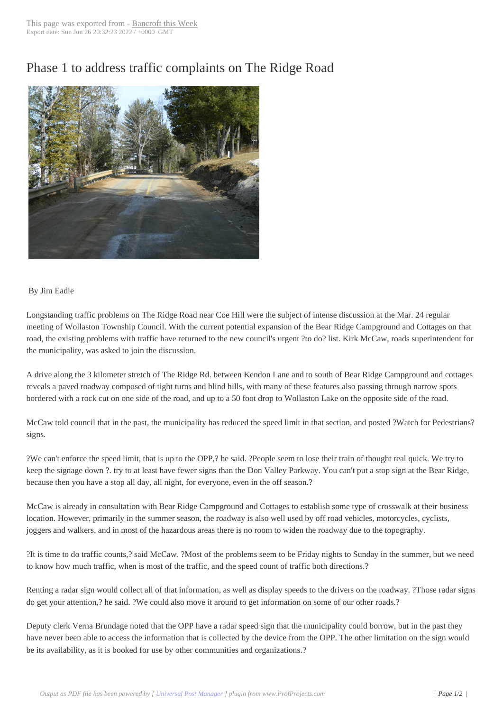## Phase 1 to address [traffic compl](http://www.bancroftthisweek.com/?p=4411)aints on The Ridge Road



## By Jim Eadie

Longstanding traffic problems on The Ridge Road near Coe Hill were the subject of intense discussion at the Mar. 24 regular meeting of Wollaston Township Council. With the current potential expansion of the Bear Ridge Campground and Cottages on that road, the existing problems with traffic have returned to the new council's urgent ?to do? list. Kirk McCaw, roads superintendent for the municipality, was asked to join the discussion.

A drive along the 3 kilometer stretch of The Ridge Rd. between Kendon Lane and to south of Bear Ridge Campground and cottages reveals a paved roadway composed of tight turns and blind hills, with many of these features also passing through narrow spots bordered with a rock cut on one side of the road, and up to a 50 foot drop to Wollaston Lake on the opposite side of the road.

McCaw told council that in the past, the municipality has reduced the speed limit in that section, and posted ?Watch for Pedestrians? signs.

?We can't enforce the speed limit, that is up to the OPP,? he said. ?People seem to lose their train of thought real quick. We try to keep the signage down ?. try to at least have fewer signs than the Don Valley Parkway. You can't put a stop sign at the Bear Ridge, because then you have a stop all day, all night, for everyone, even in the off season.?

McCaw is already in consultation with Bear Ridge Campground and Cottages to establish some type of crosswalk at their business location. However, primarily in the summer season, the roadway is also well used by off road vehicles, motorcycles, cyclists, joggers and walkers, and in most of the hazardous areas there is no room to widen the roadway due to the topography.

?It is time to do traffic counts,? said McCaw. ?Most of the problems seem to be Friday nights to Sunday in the summer, but we need to know how much traffic, when is most of the traffic, and the speed count of traffic both directions.?

Renting a radar sign would collect all of that information, as well as display speeds to the drivers on the roadway. ?Those radar signs do get your attention,? he said. ?We could also move it around to get information on some of our other roads.?

Deputy clerk Verna Brundage noted that the OPP have a radar speed sign that the municipality could borrow, but in the past they have never been able to access the information that is collected by the device from the OPP. The other limitation on the sign would be its availability, as it is booked for use by other communities and organizations.?